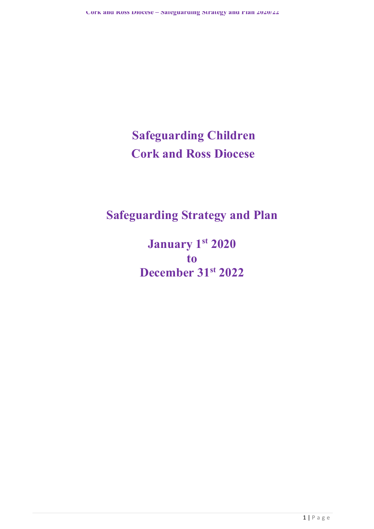# **Safeguarding Children Cork and Ross Diocese**

## **Safeguarding Strategy and Plan**

**January 1st 2020 to December 31st 2022**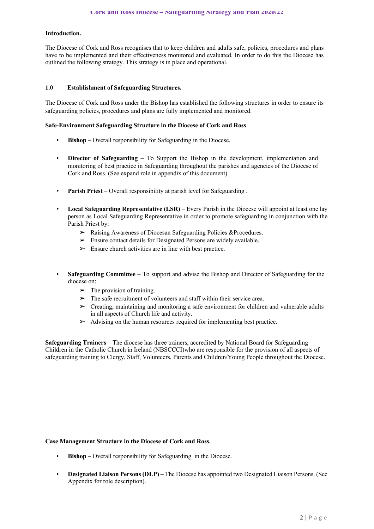#### **Introduction.**

The Diocese of Cork and Ross recognises that to keep children and adults safe, policies, procedures and plans have to be implemented and their effectiveness monitored and evaluated. In order to do this the Diocese has outlined the following strategy. This strategy is in place and operational.

#### **1.0 Establishment of Safeguarding Structures.**

The Diocese of Cork and Ross under the Bishop has established the following structures in order to ensure its safeguarding policies, procedures and plans are fully implemented and monitored.

#### **Safe-Environment Safeguarding Structure in the Diocese of Cork and Ross**

- **Bishop**  Overall responsibility for Safeguarding in the Diocese.
- **Director of Safeguarding** To Support the Bishop in the development, implementation and monitoring of best practice in Safeguarding throughout the parishes and agencies of the Diocese of Cork and Ross. (See expand role in appendix of this document)
- **Parish Priest**  Overall responsibility at parish level for Safeguarding .
- **Local Safeguarding Representative (LSR)**  Every Parish in the Diocese will appoint at least one lay person as Local Safeguarding Representative in order to promote safeguarding in conjunction with the Parish Priest by:
	- ➢ Raising Awareness of Diocesan Safeguarding Policies &Procedures.
	- $\triangleright$  Ensure contact details for Designated Persons are widely available.
	- $\triangleright$  Ensure church activities are in line with best practice.
- **Safeguarding Committee**  To support and advise the Bishop and Director of Safeguarding for the diocese on:
	- $\blacktriangleright$  The provision of training.
	- $\triangleright$  The safe recruitment of volunteers and staff within their service area.
	- ➢ Creating, maintaining and monitoring a safe environment for children and vulnerable adults in all aspects of Church life and activity.
	- $\triangleright$  Advising on the human resources required for implementing best practice.

**Safeguarding Trainers** – The diocese has three trainers, accredited by National Board for Safeguarding Children in the Catholic Church in Ireland (NBSCCCI)who are responsible for the provision of all aspects of safeguarding training to Clergy, Staff, Volunteers, Parents and Children/Young People throughout the Diocese.

#### **Case Management Structure in the Diocese of Cork and Ross.**

- **Bishop** Overall responsibility for Safeguarding in the Diocese.
- **Designated Liaison Persons (DLP)**  The Diocese has appointed two Designated Liaison Persons. (See Appendix for role description).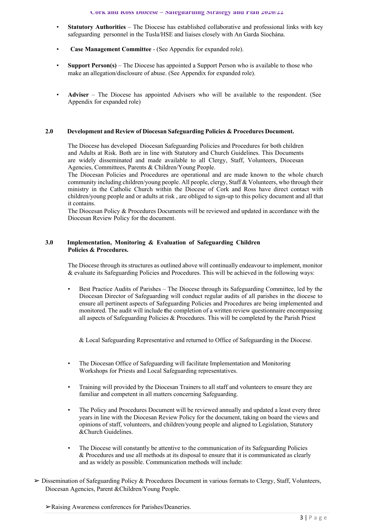- **Statutory Authorities**  The Diocese has established collaborative and professional links with key safeguarding personnel in the Tusla/HSE and liaises closely with An Garda Síochána.
- **Case Management Committee**  (See Appendix for expanded role).
- **Support Person(s)**  The Diocese has appointed a Support Person who is available to those who make an allegation/disclosure of abuse. (See Appendix for expanded role).
- **Adviser**  The Diocese has appointed Advisers who will be available to the respondent. (See Appendix for expanded role)

#### **2.0 Development and Review of Diocesan Safeguarding Policies & Procedures Document.**

The Diocese has developed Diocesan Safeguarding Policies and Procedures for both children and Adults at Risk. Both are in line with Statutory and Church Guidelines. This Documents are widely disseminated and made available to all Clergy, Staff, Volunteers, Diocesan Agencies, Committees, Parents & Children/Young People.

The Diocesan Policies and Procedures are operational and are made known to the whole church community including children/young people. All people, clergy, Staff & Volunteers, who through their ministry in the Catholic Church within the Diocese of Cork and Ross have direct contact with children/young people and or adults at risk , are obliged to sign-up to this policy document and all that it contains.

The Diocesan Policy & Procedures Documents will be reviewed and updated in accordance with the Diocesan Review Policy for the document.

#### **3.0 Implementation, Monitoring & Evaluation of Safeguarding Children Policies & Procedures.**

The Diocese through its structures as outlined above will continually endeavour to implement, monitor & evaluate its Safeguarding Policies and Procedures. This will be achieved in the following ways:

• Best Practice Audits of Parishes – The Diocese through its Safeguarding Committee, led by the Diocesan Director of Safeguarding will conduct regular audits of all parishes in the diocese to ensure all pertinent aspects of Safeguarding Policies and Procedures are being implemented and monitored. The audit will include **t**he completion of a written review questionnaire encompassing all aspects of Safeguarding Policies & Procedures. This will be completed by the Parish Priest

& Local Safeguarding Representative and returned to Office of Safeguarding in the Diocese.

- The Diocesan Office of Safeguarding will facilitate Implementation and Monitoring Workshops for Priests and Local Safeguarding representatives.
- Training will provided by the Diocesan Trainers to all staff and volunteers to ensure they are familiar and competent in all matters concerning Safeguarding.
- The Policy and Procedures Document will be reviewed annually and updated a least every three years in line with the Diocesan Review Policy for the document, taking on board the views and opinions of staff, volunteers, and children/young people and aligned to Legislation, Statutory &Church Guidelines.
- The Diocese will constantly be attentive to the communication of its Safeguarding Policies & Procedures and use all methods at its disposal to ensure that it is communicated as clearly and as widely as possible. Communication methods will include:
- ➢ Dissemination of Safeguarding Policy & Procedures Document in various formats to Clergy, Staff, Volunteers, Diocesan Agencies, Parent &Children/Young People.

<sup>➢</sup>Raising Awareness conferences for Parishes/Deaneries.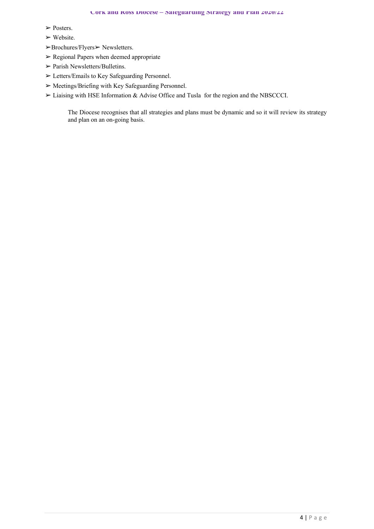- ➢ Posters.
- $\triangleright$  Website.
- ➢Brochures/Flyers➢ Newsletters.
- $\triangleright$  Regional Papers when deemed appropriate
- $\triangleright$  Parish Newsletters/Bulletins.
- ➢ Letters/Emails to Key Safeguarding Personnel.
- ➢ Meetings/Briefing with Key Safeguarding Personnel.
- ➢ Liaising with HSE Information & Advise Office and Tusla for the region and the NBSCCCI.

The Diocese recognises that all strategies and plans must be dynamic and so it will review its strategy and plan on an on-going basis.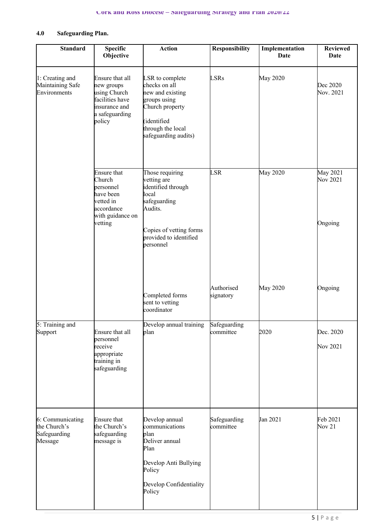### **4.0 Safeguarding Plan.**

| <b>Standard</b>                                             | <b>Specific</b><br>Objective                                                                                     | <b>Action</b>                                                                                                                                              | <b>Responsibility</b>     | Implementation<br><b>Date</b> | <b>Reviewed</b><br><b>Date</b>  |
|-------------------------------------------------------------|------------------------------------------------------------------------------------------------------------------|------------------------------------------------------------------------------------------------------------------------------------------------------------|---------------------------|-------------------------------|---------------------------------|
| 1: Creating and<br>Maintaining Safe<br>Environments         | Ensure that all<br>new groups<br>using Church<br>facilities have<br>insurance and<br>a safeguarding<br>policy    | LSR to complete<br>checks on all<br>new and existing<br>groups using<br>Church property<br>(identified<br>through the local<br>safeguarding audits)        | <b>LSRs</b>               | May 2020                      | Dec 2020<br>Nov. 2021           |
|                                                             | <b>Ensure that</b><br>Church<br>personnel<br>have been<br>vetted in<br>accordance<br>with guidance on<br>vetting | Those requiring<br>vetting are<br>identified through<br>local<br>safeguarding<br>Audits.<br>Copies of vetting forms<br>provided to identified<br>personnel | LSR                       | May 2020                      | May 2021<br>Nov 2021<br>Ongoing |
|                                                             |                                                                                                                  | Completed forms<br>sent to vetting<br>coordinator                                                                                                          | Authorised<br>signatory   | May 2020                      | Ongoing                         |
| 5: Training and<br>Support                                  | Ensure that all<br>personnel<br>receive<br>appropriate<br>training in<br>safeguarding                            | Develop annual training<br>plan                                                                                                                            | Safeguarding<br>committee | 2020                          | Dec. 2020<br>Nov 2021           |
| 6: Communicating<br>the Church's<br>Safeguarding<br>Message | <b>Ensure that</b><br>the Church's<br>safeguarding<br>message is                                                 | Develop annual<br>communications<br>plan<br>Deliver annual<br>Plan<br>Develop Anti Bullying<br>Policy<br>Develop Confidentiality<br>Policy                 | Safeguarding<br>committee | Jan 2021                      | Feb 2021<br>Nov $21$            |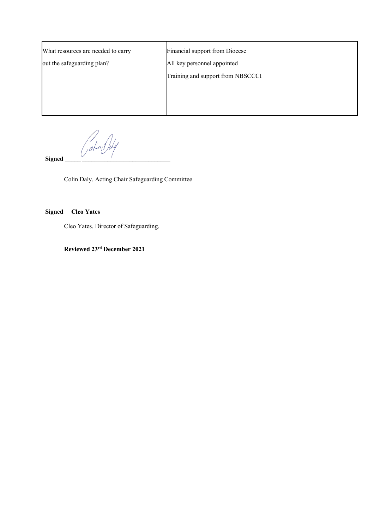| What resources are needed to carry | Financial support from Diocese    |  |  |
|------------------------------------|-----------------------------------|--|--|
| out the safeguarding plan?         | All key personnel appointed       |  |  |
|                                    | Training and support from NBSCCCI |  |  |
|                                    |                                   |  |  |
|                                    |                                   |  |  |
|                                    |                                   |  |  |

/<br>dkind

 $Signed$ 

Colin Daly. Acting Chair Safeguarding Committee

**Signed Cleo Yates**

Cleo Yates. Director of Safeguarding.

**Reviewed 23rd December 2021**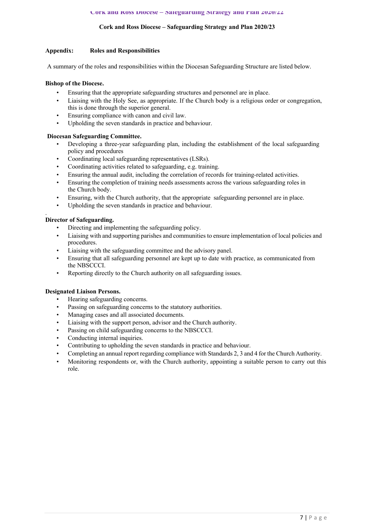#### **Cork and Ross Diocese – Safeguarding Strategy and Plan 2020/23**

#### **Appendix: Roles and Responsibilities**

A summary of the roles and responsibilities within the Diocesan Safeguarding Structure are listed below.

#### **Bishop of the Diocese.**

- Ensuring that the appropriate safeguarding structures and personnel are in place.
- Liaising with the Holy See, as appropriate. If the Church body is a religious order or congregation, this is done through the superior general.
- Ensuring compliance with canon and civil law.
- Upholding the seven standards in practice and behaviour.

#### **Diocesan Safeguarding Committee.**

- Developing a three-year safeguarding plan, including the establishment of the local safeguarding policy and procedures
- Coordinating local safeguarding representatives (LSRs).
- Coordinating activities related to safeguarding, e.g. training.
- Ensuring the annual audit, including the correlation of records for training-related activities.
- Ensuring the completion of training needs assessments across the various safeguarding roles in the Church body.
- Ensuring, with the Church authority, that the appropriate safeguarding personnel are in place.
- Upholding the seven standards in practice and behaviour.

#### . **Director of Safeguarding.**

- Directing and implementing the safeguarding policy.
- Liaising with and supporting parishes and communities to ensure implementation of local policies and procedures.
- Liaising with the safeguarding committee and the advisory panel.
- Ensuring that all safeguarding personnel are kept up to date with practice, as communicated from the NBSCCCI.
- Reporting directly to the Church authority on all safeguarding issues.

#### **Designated Liaison Persons.**

- Hearing safeguarding concerns.
- Passing on safeguarding concerns to the statutory authorities.
- Managing cases and all associated documents.
- Liaising with the support person, advisor and the Church authority.
- Passing on child safeguarding concerns to the NBSCCCI.
- Conducting internal inquiries.
- Contributing to upholding the seven standards in practice and behaviour.
- Completing an annual report regarding compliance with Standards 2, 3 and 4 for the Church Authority.
- Monitoring respondents or, with the Church authority, appointing a suitable person to carry out this role.